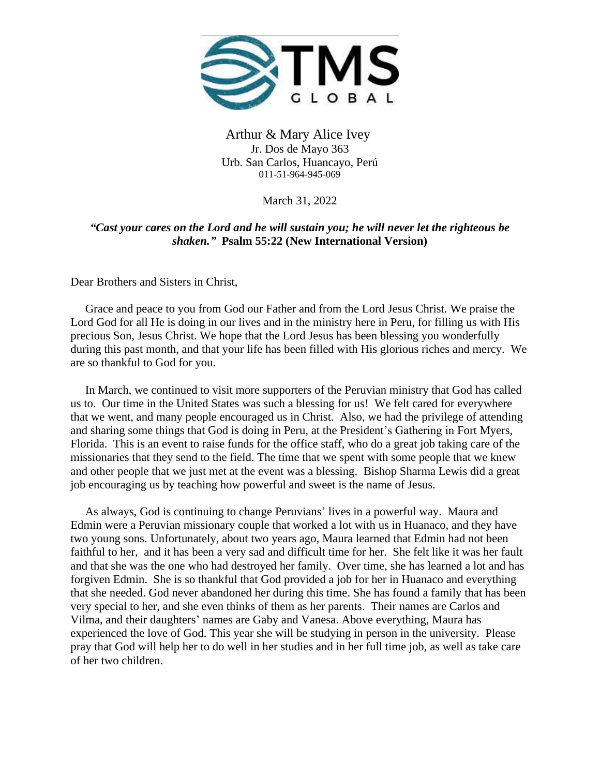

Arthur & Mary Alice Ivey Jr. Dos de Mayo 363 Urb. San Carlos, Huancayo, Perú 011-51-964-945-069

March 31, 2022

## *"Cast your cares on the Lord and he will sustain you; he will never let the righteous be shaken."* **Psalm 55:22 (New International Version)**

Dear Brothers and Sisters in Christ,

 Grace and peace to you from God our Father and from the Lord Jesus Christ. We praise the Lord God for all He is doing in our lives and in the ministry here in Peru, for filling us with His precious Son, Jesus Christ. We hope that the Lord Jesus has been blessing you wonderfully during this past month, and that your life has been filled with His glorious riches and mercy. We are so thankful to God for you.

 In March, we continued to visit more supporters of the Peruvian ministry that God has called us to. Our time in the United States was such a blessing for us! We felt cared for everywhere that we went, and many people encouraged us in Christ. Also, we had the privilege of attending and sharing some things that God is doing in Peru, at the President's Gathering in Fort Myers, Florida. This is an event to raise funds for the office staff, who do a great job taking care of the missionaries that they send to the field. The time that we spent with some people that we knew and other people that we just met at the event was a blessing. Bishop Sharma Lewis did a great job encouraging us by teaching how powerful and sweet is the name of Jesus.

 As always, God is continuing to change Peruvians' lives in a powerful way. Maura and Edmin were a Peruvian missionary couple that worked a lot with us in Huanaco, and they have two young sons. Unfortunately, about two years ago, Maura learned that Edmin had not been faithful to her, and it has been a very sad and difficult time for her. She felt like it was her fault and that she was the one who had destroyed her family. Over time, she has learned a lot and has forgiven Edmin. She is so thankful that God provided a job for her in Huanaco and everything that she needed. God never abandoned her during this time. She has found a family that has been very special to her, and she even thinks of them as her parents. Their names are Carlos and Vilma, and their daughters' names are Gaby and Vanesa. Above everything, Maura has experienced the love of God. This year she will be studying in person in the university. Please pray that God will help her to do well in her studies and in her full time job, as well as take care of her two children.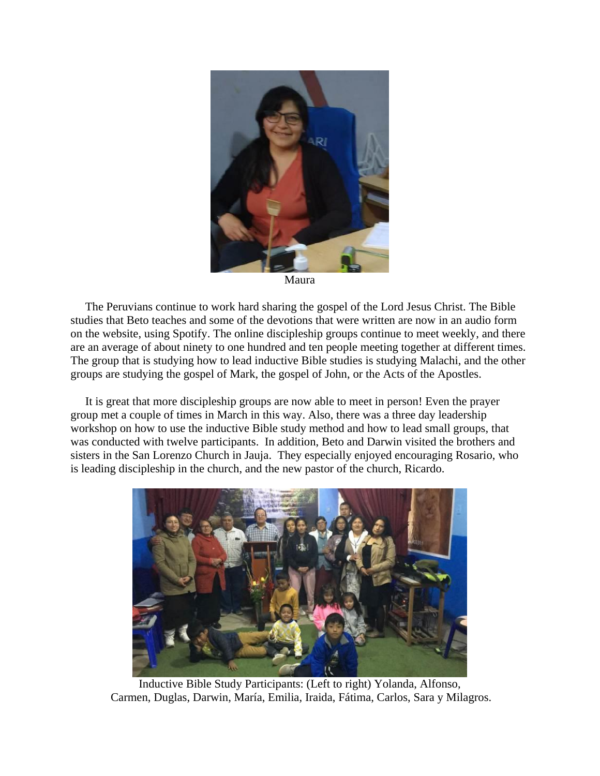

Maura

 The Peruvians continue to work hard sharing the gospel of the Lord Jesus Christ. The Bible studies that Beto teaches and some of the devotions that were written are now in an audio form on the website, using Spotify. The online discipleship groups continue to meet weekly, and there are an average of about ninety to one hundred and ten people meeting together at different times. The group that is studying how to lead inductive Bible studies is studying Malachi, and the other groups are studying the gospel of Mark, the gospel of John, or the Acts of the Apostles.

 It is great that more discipleship groups are now able to meet in person! Even the prayer group met a couple of times in March in this way. Also, there was a three day leadership workshop on how to use the inductive Bible study method and how to lead small groups, that was conducted with twelve participants. In addition, Beto and Darwin visited the brothers and sisters in the San Lorenzo Church in Jauja. They especially enjoyed encouraging Rosario, who is leading discipleship in the church, and the new pastor of the church, Ricardo.



Inductive Bible Study Participants: (Left to right) Yolanda, Alfonso, Carmen, Duglas, Darwin, María, Emilia, Iraida, Fátima, Carlos, Sara y Milagros.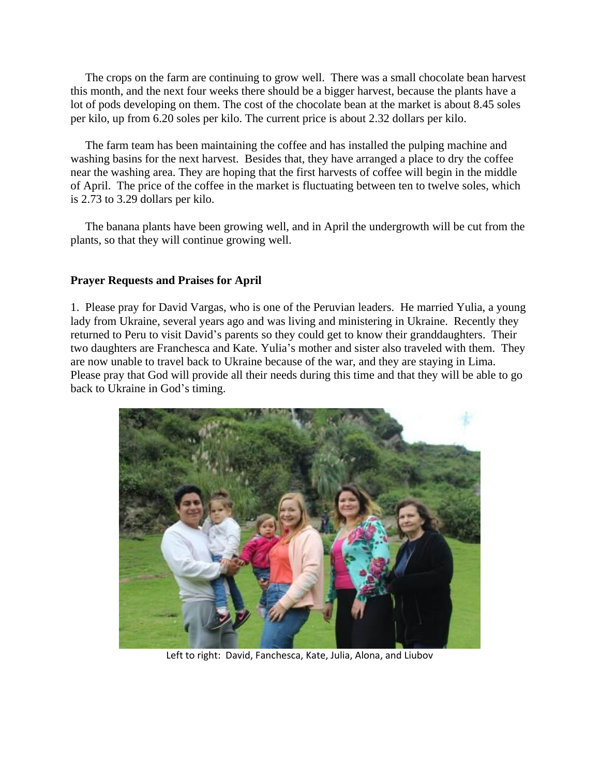The crops on the farm are continuing to grow well. There was a small chocolate bean harvest this month, and the next four weeks there should be a bigger harvest, because the plants have a lot of pods developing on them. The cost of the chocolate bean at the market is about 8.45 soles per kilo, up from 6.20 soles per kilo. The current price is about 2.32 dollars per kilo.

 The farm team has been maintaining the coffee and has installed the pulping machine and washing basins for the next harvest. Besides that, they have arranged a place to dry the coffee near the washing area. They are hoping that the first harvests of coffee will begin in the middle of April. The price of the coffee in the market is fluctuating between ten to twelve soles, which is 2.73 to 3.29 dollars per kilo.

 The banana plants have been growing well, and in April the undergrowth will be cut from the plants, so that they will continue growing well.

## **Prayer Requests and Praises for April**

1. Please pray for David Vargas, who is one of the Peruvian leaders. He married Yulia, a young lady from Ukraine, several years ago and was living and ministering in Ukraine. Recently they returned to Peru to visit David's parents so they could get to know their granddaughters. Their two daughters are Franchesca and Kate. Yulia's mother and sister also traveled with them. They are now unable to travel back to Ukraine because of the war, and they are staying in Lima. Please pray that God will provide all their needs during this time and that they will be able to go back to Ukraine in God's timing.



Left to right: David, Fanchesca, Kate, Julia, Alona, and Liubov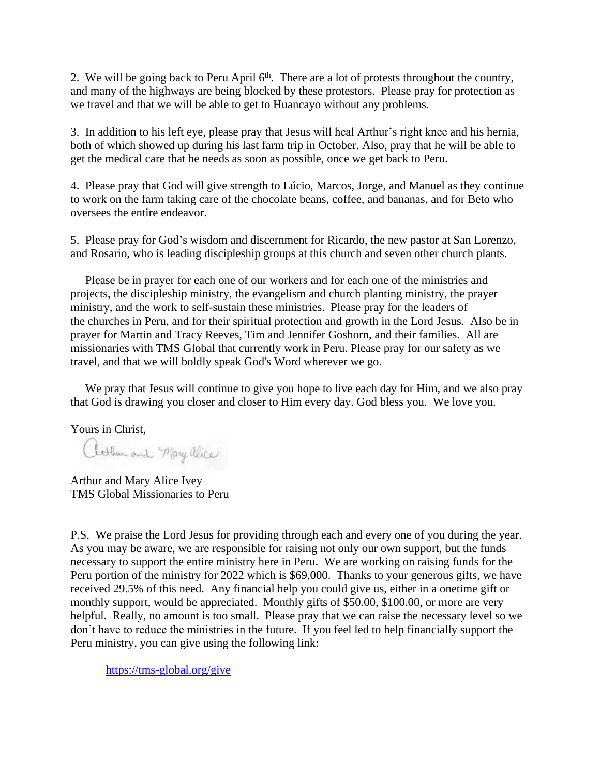2. We will be going back to Peru April  $6<sup>th</sup>$ . There are a lot of protests throughout the country, and many of the highways are being blocked by these protestors. Please pray for protection as we travel and that we will be able to get to Huancayo without any problems.

3. In addition to his left eye, please pray that Jesus will heal Arthur's right knee and his hernia, both of which showed up during his last farm trip in October. Also, pray that he will be able to get the medical care that he needs as soon as possible, once we get back to Peru.

4. Please pray that God will give strength to Lúcio, Marcos, Jorge, and Manuel as they continue to work on the farm taking care of the chocolate beans, coffee, and bananas, and for Beto who oversees the entire endeavor.

5. Please pray for God's wisdom and discernment for Ricardo, the new pastor at San Lorenzo, and Rosario, who is leading discipleship groups at this church and seven other church plants.

 Please be in prayer for each one of our workers and for each one of the ministries and projects, the discipleship ministry, the evangelism and church planting ministry, the prayer ministry, and the work to self-sustain these ministries. Please pray for the leaders of the churches in Peru, and for their spiritual protection and growth in the Lord Jesus. Also be in prayer for Martin and Tracy Reeves, Tim and Jennifer Goshorn, and their families. All are missionaries with TMS Global that currently work in Peru. Please pray for our safety as we travel, and that we will boldly speak God's Word wherever we go.

 We pray that Jesus will continue to give you hope to live each day for Him, and we also pray that God is drawing you closer and closer to Him every day. God bless you. We love you.

Yours in Christ,

Attheward Mary alice

Arthur and Mary Alice Ivey TMS Global Missionaries to Peru

P.S. We praise the Lord Jesus for providing through each and every one of you during the year. As you may be aware, we are responsible for raising not only our own support, but the funds necessary to support the entire ministry here in Peru. We are working on raising funds for the Peru portion of the ministry for 2022 which is \$69,000. Thanks to your generous gifts, we have received 29.5% of this need. Any financial help you could give us, either in a onetime gift or monthly support, would be appreciated. Monthly gifts of \$50.00, \$100.00, or more are very helpful. Really, no amount is too small. Please pray that we can raise the necessary level so we don't have to reduce the ministries in the future. If you feel led to help financially support the Peru ministry, you can give using the following link:

<https://tms-global.org/give>